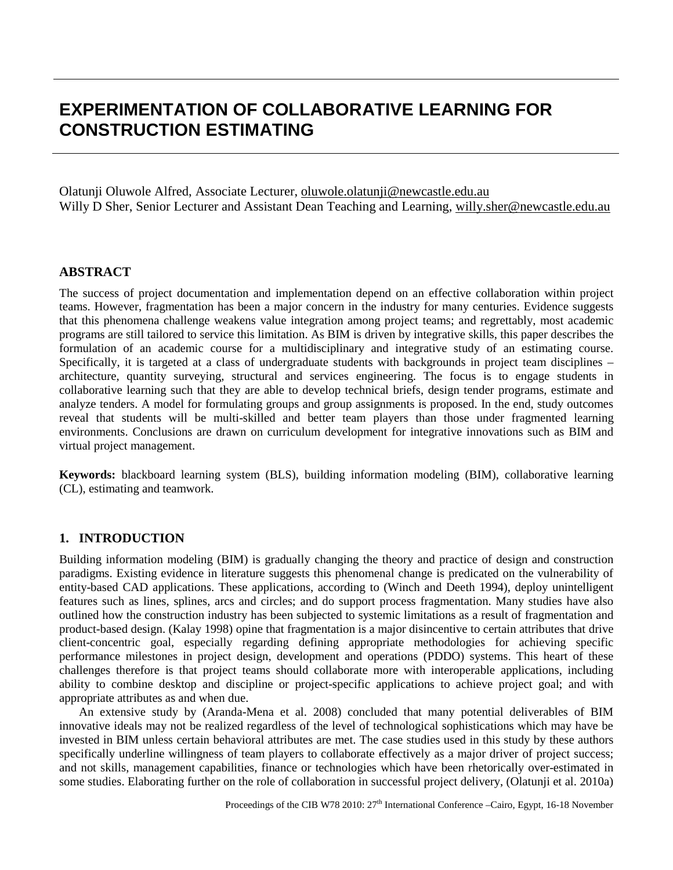# **EXPERIMENTATION OF COLLABORATIVE LEARNING FOR CONSTRUCTION ESTIMATING**

Olatunji Oluwole Alfred, Associate Lecturer, [oluwole.olatunji@newcastle.edu.au](mailto:oluwole.olatunji@newcastle.edu.au) Willy D Sher, Senior Lecturer and Assistant Dean Teaching and Learning, [willy.sher@newcastle.edu.au](mailto:willy.sher@newcastle.edu.au)

#### **ABSTRACT**

The success of project documentation and implementation depend on an effective collaboration within project teams. However, fragmentation has been a major concern in the industry for many centuries. Evidence suggests that this phenomena challenge weakens value integration among project teams; and regrettably, most academic programs are still tailored to service this limitation. As BIM is driven by integrative skills, this paper describes the formulation of an academic course for a multidisciplinary and integrative study of an estimating course. Specifically, it is targeted at a class of undergraduate students with backgrounds in project team disciplines – architecture, quantity surveying, structural and services engineering. The focus is to engage students in collaborative learning such that they are able to develop technical briefs, design tender programs, estimate and analyze tenders. A model for formulating groups and group assignments is proposed. In the end, study outcomes reveal that students will be multi-skilled and better team players than those under fragmented learning environments. Conclusions are drawn on curriculum development for integrative innovations such as BIM and virtual project management.

**Keywords:** blackboard learning system (BLS), building information modeling (BIM), collaborative learning (CL), estimating and teamwork.

## **1. INTRODUCTION**

Building information modeling (BIM) is gradually changing the theory and practice of design and construction paradigms. Existing evidence in literature suggests this phenomenal change is predicated on the vulnerability of entity-based CAD applications. These applications, according to (Winch and Deeth 1994), deploy unintelligent features such as lines, splines, arcs and circles; and do support process fragmentation. Many studies have also outlined how the construction industry has been subjected to systemic limitations as a result of fragmentation and product-based design. (Kalay 1998) opine that fragmentation is a major disincentive to certain attributes that drive client-concentric goal, especially regarding defining appropriate methodologies for achieving specific performance milestones in project design, development and operations (PDDO) systems. This heart of these challenges therefore is that project teams should collaborate more with interoperable applications, including ability to combine desktop and discipline or project-specific applications to achieve project goal; and with appropriate attributes as and when due.

An extensive study by (Aranda-Mena et al. 2008) concluded that many potential deliverables of BIM innovative ideals may not be realized regardless of the level of technological sophistications which may have be invested in BIM unless certain behavioral attributes are met. The case studies used in this study by these authors specifically underline willingness of team players to collaborate effectively as a major driver of project success; and not skills, management capabilities, finance or technologies which have been rhetorically over-estimated in some studies. Elaborating further on the role of collaboration in successful project delivery, (Olatunji et al. 2010a)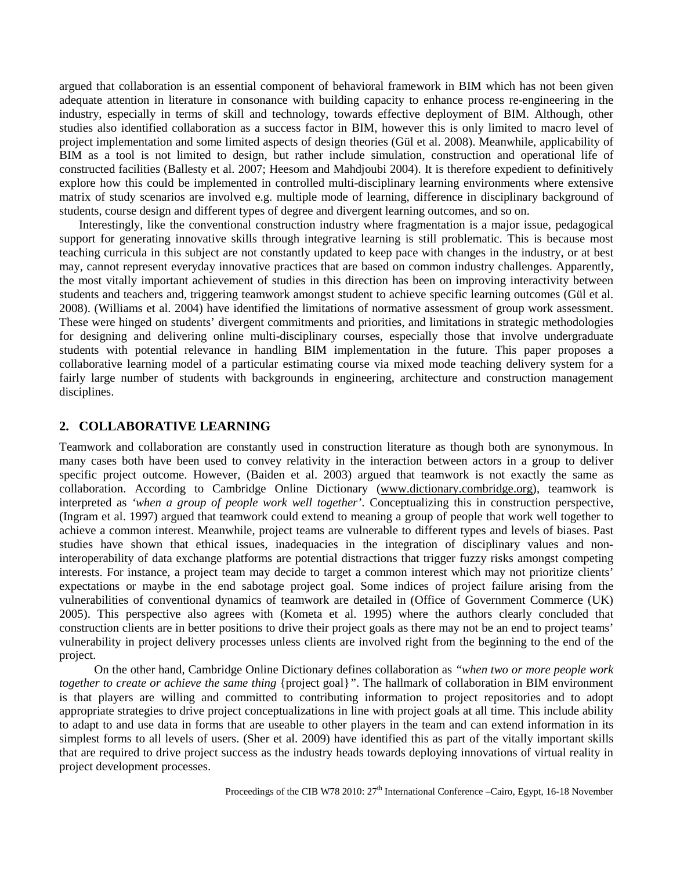argued that collaboration is an essential component of behavioral framework in BIM which has not been given adequate attention in literature in consonance with building capacity to enhance process re-engineering in the industry, especially in terms of skill and technology, towards effective deployment of BIM. Although, other studies also identified collaboration as a success factor in BIM, however this is only limited to macro level of project implementation and some limited aspects of design theories (Gül et al. 2008). Meanwhile, applicability of BIM as a tool is not limited to design, but rather include simulation, construction and operational life of constructed facilities (Ballesty et al. 2007; Heesom and Mahdjoubi 2004). It is therefore expedient to definitively explore how this could be implemented in controlled multi-disciplinary learning environments where extensive matrix of study scenarios are involved e.g. multiple mode of learning, difference in disciplinary background of students, course design and different types of degree and divergent learning outcomes, and so on.

Interestingly, like the conventional construction industry where fragmentation is a major issue, pedagogical support for generating innovative skills through integrative learning is still problematic. This is because most teaching curricula in this subject are not constantly updated to keep pace with changes in the industry, or at best may, cannot represent everyday innovative practices that are based on common industry challenges. Apparently, the most vitally important achievement of studies in this direction has been on improving interactivity between students and teachers and, triggering teamwork amongst student to achieve specific learning outcomes (Gül et al. 2008). (Williams et al. 2004) have identified the limitations of normative assessment of group work assessment. These were hinged on students' divergent commitments and priorities, and limitations in strategic methodologies for designing and delivering online multi-disciplinary courses, especially those that involve undergraduate students with potential relevance in handling BIM implementation in the future. This paper proposes a collaborative learning model of a particular estimating course via mixed mode teaching delivery system for a fairly large number of students with backgrounds in engineering, architecture and construction management disciplines.

## **2. COLLABORATIVE LEARNING**

Teamwork and collaboration are constantly used in construction literature as though both are synonymous. In many cases both have been used to convey relativity in the interaction between actors in a group to deliver specific project outcome. However, (Baiden et al. 2003) argued that teamwork is not exactly the same as collaboration. According to Cambridge Online Dictionary [\(www.dictionary.combridge.org\)](http://www.dictionary.combridge.org/), teamwork is interpreted as *'when a group of people work well together'*. Conceptualizing this in construction perspective, (Ingram et al. 1997) argued that teamwork could extend to meaning a group of people that work well together to achieve a common interest. Meanwhile, project teams are vulnerable to different types and levels of biases. Past studies have shown that ethical issues, inadequacies in the integration of disciplinary values and noninteroperability of data exchange platforms are potential distractions that trigger fuzzy risks amongst competing interests. For instance, a project team may decide to target a common interest which may not prioritize clients' expectations or maybe in the end sabotage project goal. Some indices of project failure arising from the vulnerabilities of conventional dynamics of teamwork are detailed in (Office of Government Commerce (UK) 2005). This perspective also agrees with (Kometa et al. 1995) where the authors clearly concluded that construction clients are in better positions to drive their project goals as there may not be an end to project teams' vulnerability in project delivery processes unless clients are involved right from the beginning to the end of the project.

 On the other hand, Cambridge Online Dictionary defines collaboration as *"when two or more people work together to create or achieve the same thing* {project goal}*"*. The hallmark of collaboration in BIM environment is that players are willing and committed to contributing information to project repositories and to adopt appropriate strategies to drive project conceptualizations in line with project goals at all time. This include ability to adapt to and use data in forms that are useable to other players in the team and can extend information in its simplest forms to all levels of users. (Sher et al. 2009) have identified this as part of the vitally important skills that are required to drive project success as the industry heads towards deploying innovations of virtual reality in project development processes.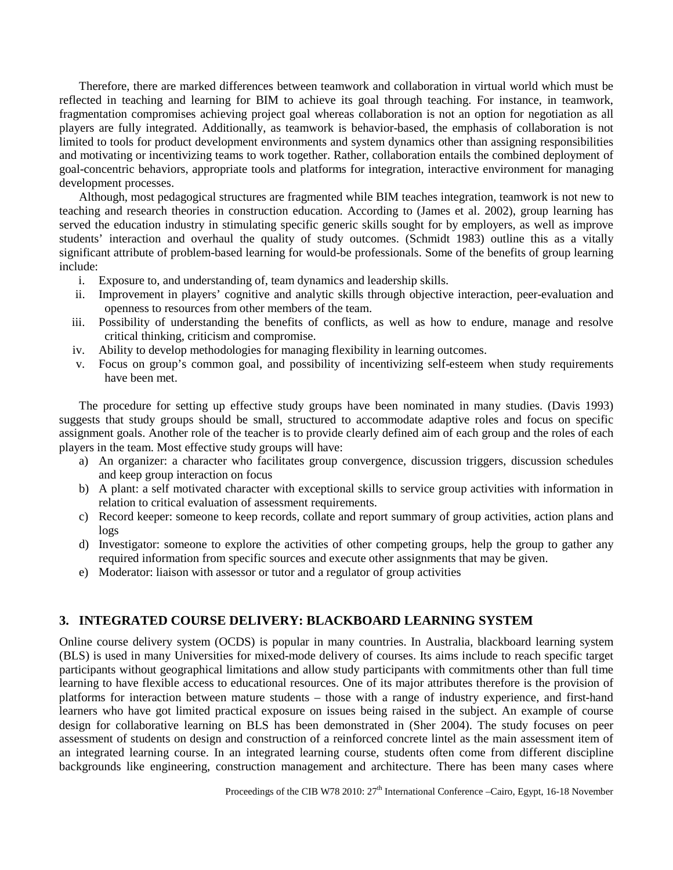Therefore, there are marked differences between teamwork and collaboration in virtual world which must be reflected in teaching and learning for BIM to achieve its goal through teaching. For instance, i n teamwork, fragmentation compromises achieving project goal whereas collaboration is not an option for negotiation as all players are fully integrated. Additionally, as teamwork is behavior-based, the emphasis of collaboration is not limited to tools for product development environments and system dynamics other than assigning responsibilities and motivating or incentivizing teams to work together. Rather, collaboration entails the combined deployment of goal-concentric behaviors, appropriate tools and platforms for integration, interactive environment for managing development processes.

Although, most pedagogical structures are fragmented while BIM teaches integration, teamwork is not new to teaching and research theories in construction education. According to (James et al. 2002), group learning has served the education industry in stimulating specific generic skills sought for by employers, as well as improve students' interaction and overhaul the quality of study outcomes. (Schmidt 1983) outline this as a vitally significant attribute of problem-based learning for would-be professionals. Some of the benefits of group learning include:

- i. Exposure to, and understanding of, team dynamics and leadership skills.
- ii. Improvement in players' cognitive and analytic skills through objective interaction, peer-evaluation and openness to resources from other members of the team.
- iii. Possibility of understanding the benefits of conflicts, as well as how to endure, manage and resolve critical thinking, criticism and compromise.
- iv. Ability to develop methodologies for managing flexibility in learning outcomes.
- v. Focus on group's common goal, and possibility of incentivizing self-esteem when study requirements have been met.

The procedure for setting up effective study groups have been nominated in many studies. (Davis 1993) suggests that study groups should be small, structured to accommodate adaptive roles and focus on specific assignment goals. Another role of the teacher is to provide clearly defined aim of each group and the roles of each players in the team. Most effective study groups will have:

- a) An organizer: a character who facilitates group convergence, discussion triggers, discussion schedules and keep group interaction on focus
- b) A plant: a self motivated character with exceptional skills to service group activities with information in relation to critical evaluation of assessment requirements.
- c) Record keeper: someone to keep records, collate and report summary of group activities, action plans and logs
- d) Investigator: someone to explore the activities of other competing groups, help the group to gather any required information from specific sources and execute other assignments that may be given.
- e) Moderator: liaison with assessor or tutor and a regulator of group activities

## **3. INTEGRATED COURSE DELIVERY: BLACKBOARD LEARNING SYSTEM**

Online course delivery system (OCDS) is popular in many countries. In Australia, blackboard learning system (BLS) is used in many Universities for mixed-mode delivery of courses. Its aims include to reach specific target participants without geographical limitations and allow study participants with commitments other than full time learning to have flexible access to educational resources. One of its major attributes therefore is the provision of platforms for interaction between mature students – those with a range of industry experience, and first-hand learners who have got limited practical exposure on issues being raised in the subject. An example of course design for collaborative learning on BLS has been demonstrated in (Sher 2004). The study focuses on peer assessment of students on design and construction of a reinforced concrete lintel as the main assessment item of an integrated learning course. In an integrated learning course, students often come from different discipline backgrounds like engineering, construction management and architecture. There has been many cases where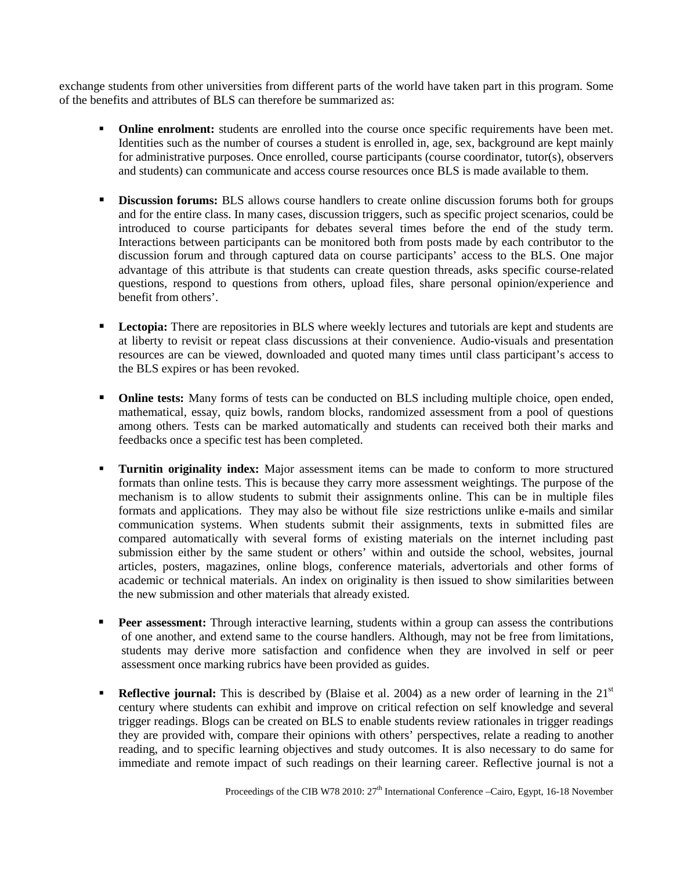exchange students from other universities from different parts of the world have taken part in this program. Some of the benefits and attributes of BLS can therefore be summarized as:

- **Online enrolment:** students are enrolled into the course once specific requirements have been met. Identities such as the number of courses a student is enrolled in, age, sex, background are kept mainly for administrative purposes. Once enrolled, course participants (course coordinator, tutor(s), observers and students) can communicate and access course resources once BLS is made available to them.
- **Discussion forums:** BLS allows course handlers to create online discussion forums both for groups and for the entire class. In many cases, discussion triggers, such as specific project scenarios, could be introduced to course participants for debates several times before the end of the study term. Interactions between participants can be monitored both from posts made by each contributor to the discussion forum and through captured data on course participants' access to the BLS. One major advantage of this attribute is that students can create question threads, asks specific course-related questions, respond to questions from others, upload files, share personal opinion/experience and benefit from others'.
- **Lectopia:** There are repositories in BLS where weekly lectures and tutorials are kept and students are at liberty to revisit or repeat class discussions at their convenience. Audio-visuals and presentation resources are can be viewed, downloaded and quoted many times until class participant's access to the BLS expires or has been revoked.
- **Online tests:** Many forms of tests can be conducted on BLS including multiple choice, open ended, mathematical, essay, quiz bowls, random blocks, randomized assessment from a pool of questions among others. Tests can be marked automatically and students can received both their marks and feedbacks once a specific test has been completed.
- **Turnitin originality index:** Major assessment items can be made to conform to more structured formats than online tests. This is because they carry more assessment weightings. The purpose of the mechanism is to allow students to submit their assignments online. This can be in multiple files formats and applications. They may also be without file size restrictions unlike e-mails and similar communication systems. When students submit their assignments, texts in submitted files are compared automatically with several forms of existing materials on the internet including past submission either by the same student or others' within and outside the school, websites, journal articles, posters, magazines, online blogs, conference materials, advertorials and other forms of academic or technical materials. An index on originality is then issued to show similarities between the new submission and other materials that already existed.
- **Peer assessment:** Through interactive learning, students within a group can assess the contributions of one another, and extend same to the course handlers. Although, may not be free from limitations, students may derive more satisfaction and confidence when they are involved in self or peer assessment once marking rubrics have been provided as guides.
- **Reflective journal:** This is described by (Blaise et al. 2004) as a new order of learning in the 21<sup>st</sup> century where students can exhibit and improve on critical refection on self knowledge and several trigger readings. Blogs can be created on BLS to enable students review rationales in trigger readings they are provided with, compare their opinions with others' perspectives, relate a reading to another reading, and to specific learning objectives and study outcomes. It is also necessary to do same for immediate and remote impact of such readings on their learning career. Reflective journal is not a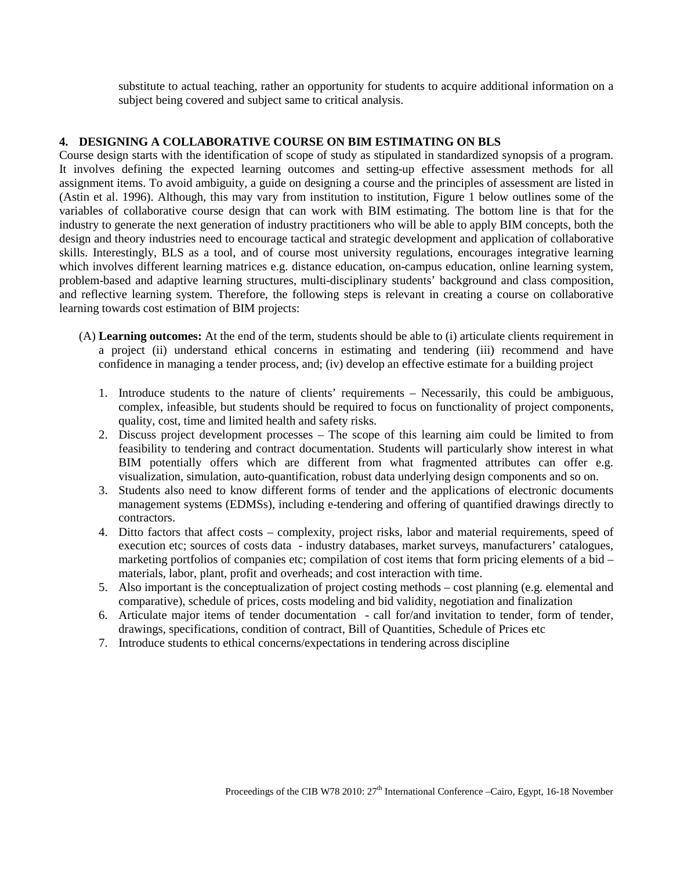substitute to actual teaching, rather an opportunity for students to acquire additional information on a subject being covered and subject same to critical analysis.

### **4. DESIGNING A COLLABORATIVE COURSE ON BIM ESTIMATING ON BLS**

Course design starts with the identification of scope of study as stipulated in standardized synopsis of a program. It involves defining the expected learning outcomes and setting-up effective assessment methods for all assignment items. To avoid ambiguity, a guide on designing a course and the principles of assessment are listed in (Astin et al. 1996). Although, this may vary from institution to institution, Figure 1 below outlines some of the variables of collaborative course design that can work with BIM estimating. The bottom line is that for the industry to generate the next generation of industry practitioners who will be able to apply BIM concepts, both the design and theory industries need to encourage tactical and strategic development and application of collaborative skills. Interestingly, BLS as a tool, and of course most university regulations, encourages integrative learning which involves different learning matrices e.g. distance education, on-campus education, online learning system, problem-based and adaptive learning structures, multi-disciplinary students' background and class composition, and reflective learning system. Therefore, the following steps is relevant in creating a course on collaborative learning towards cost estimation of BIM projects:

- (A) **Learning outcomes:** At the end of the term, students should be able to (i) articulate clients requirement in a project (ii) understand ethical concerns in estimating and tendering (iii) recommend and have confidence in managing a tender process, and; (iv) develop an effective estimate for a building project
	- 1. Introduce students to the nature of clients' requirements Necessarily, this could be ambiguous, complex, infeasible, but students should be required to focus on functionality of project components, quality, cost, time and limited health and safety risks.
	- 2. Discuss project development processes The scope of this learning aim could be limited to from feasibility to tendering and contract documentation. Students will particularly show interest in what BIM potentially offers which are different from what fragmented attributes can offer e.g. visualization, simulation, auto-quantification, robust data underlying design components and so on.
	- 3. Students also need to know different forms of tender and the applications of electronic documents management systems (EDMSs), including e-tendering and offering of quantified drawings directly to contractors.
	- 4. Ditto factors that affect costs complexity, project risks, labor and material requirements, speed of execution etc; sources of costs data - industry databases, market surveys, manufacturers' catalogues, marketing portfolios of companies etc; compilation of cost items that form pricing elements of a bid – materials, labor, plant, profit and overheads; and cost interaction with time.
	- 5. Also important is the conceptualization of project costing methods cost planning (e.g. elemental and comparative), schedule of prices, costs modeling and bid validity, negotiation and finalization
	- 6. Articulate major items of tender documentation call for/and invitation to tender, form of tender, drawings, specifications, condition of contract, Bill of Quantities, Schedule of Prices etc
	- 7. Introduce students to ethical concerns/expectations in tendering across discipline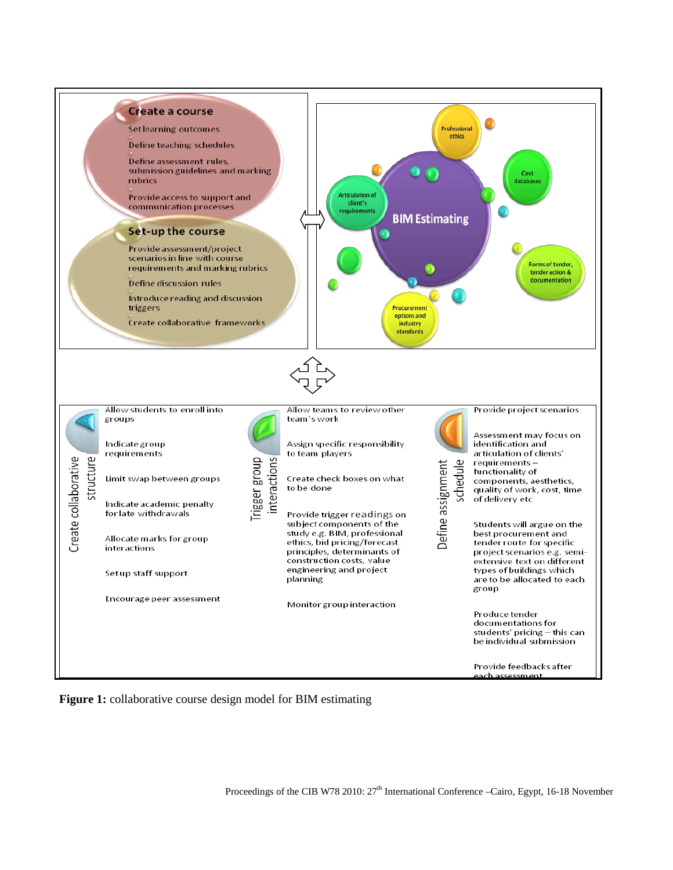

**Figure 1:** collaborative course design model for BIM estimating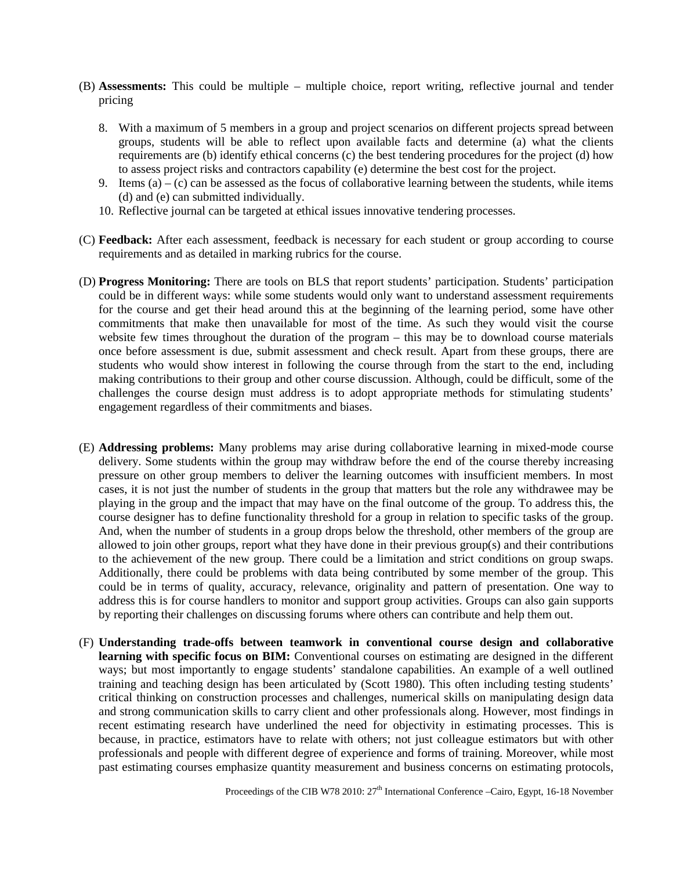- (B) **Assessments:** This could be multiple multiple choice, report writing, reflective journal and tender pricing
	- 8. With a maximum of 5 members in a group and project scenarios on different projects spread between groups, students will be able to reflect upon available facts and determine (a) what the clients requirements are (b) identify ethical concerns (c) the best tendering procedures for the project (d) how to assess project risks and contractors capability (e) determine the best cost for the project.
	- 9. Items (a) (c) can be assessed as the focus of collaborative learning between the students, while items (d) and (e) can submitted individually.
	- 10. Reflective journal can be targeted at ethical issues innovative tendering processes.
- (C) **Feedback:** After each assessment, feedback is necessary for each student or group according to course requirements and as detailed in marking rubrics for the course.
- (D) **Progress Monitoring:** There are tools on BLS that report students' participation. Students' participation could be in different ways: while some students would only want to understand assessment requirements for the course and get their head around this at the beginning of the learning period, some have other commitments that make then unavailable for most of the time. As such they would visit the course website few times throughout the duration of the program – this may be to download course materials once before assessment is due, submit assessment and check result. Apart from these groups, there are students who would show interest in following the course through from the start to the end, including making contributions to their group and other course discussion. Although, could be difficult, some of the challenges the course design must address is to adopt appropriate methods for stimulating students' engagement regardless of their commitments and biases.
- (E) **Addressing problems:** Many problems may arise during collaborative learning in mixed-mode course delivery. Some students within the group may withdraw before the end of the course thereby increasing pressure on other group members to deliver the learning outcomes with insufficient members. In most cases, it is not just the number of students in the group that matters but the role any withdrawee may be playing in the group and the impact that may have on the final outcome of the group. To address this, the course designer has to define functionality threshold for a group in relation to specific tasks of the group. And, when the number of students in a group drops below the threshold, other members of the group are allowed to join other groups, report what they have done in their previous group(s) and their contributions to the achievement of the new group. There could be a limitation and strict conditions on group swaps. Additionally, there could be problems with data being contributed by some member of the group. This could be in terms of quality, accuracy, relevance, originality and pattern of presentation. One way to address this is for course handlers to monitor and support group activities. Groups can also gain supports by reporting their challenges on discussing forums where others can contribute and help them out.
- (F) **Understanding trade-offs between teamwork in conventional course design and collaborative learning with specific focus on BIM:** Conventional courses on estimating are designed in the different ways; but most importantly to engage students' standalone capabilities. An example of a well outlined training and teaching design has been articulated by (Scott 1980). This often including testing students' critical thinking on construction processes and challenges, numerical skills on manipulating design data and strong communication skills to carry client and other professionals along. However, most findings in recent estimating research have underlined the need for objectivity in estimating processes. This is because, in practice, estimators have to relate with others; not just colleague estimators but with other professionals and people with different degree of experience and forms of training. Moreover, while most past estimating courses emphasize quantity measurement and business concerns on estimating protocols,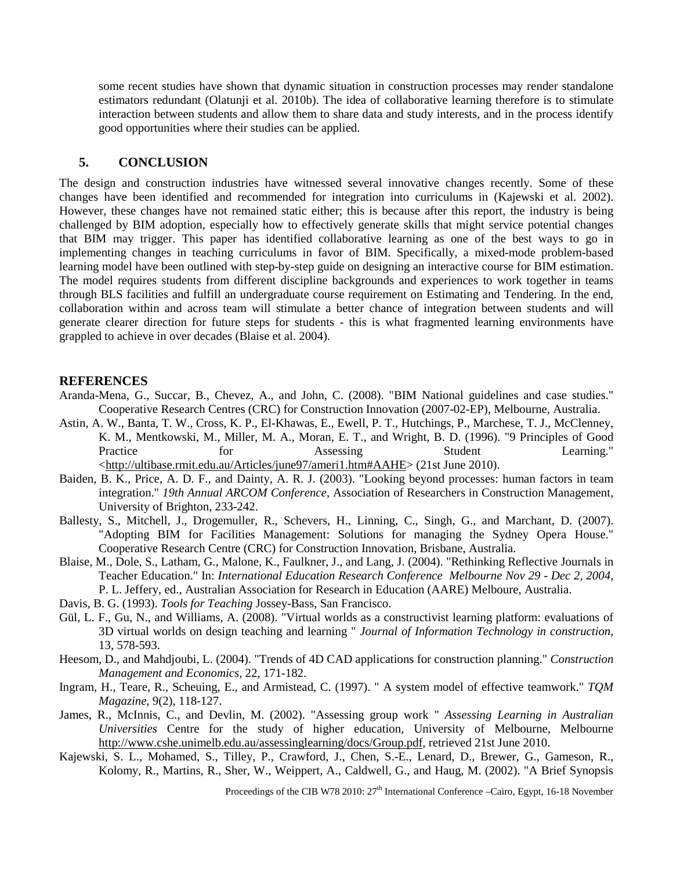some recent studies have shown that dynamic situation in construction processes may render standalone estimators redundant (Olatunji et al. 2010b). The idea of collaborative learning therefore is to stimulate interaction between students and allow them to share data and study interests, and in the process identify good opportunities where their studies can be applied.

## **5. CONCLUSION**

The design and construction industries have witnessed several innovative changes recently. Some of these changes have been identified and recommended for integration into curriculums in (Kajewski et al. 2002). However, these changes have not remained static either; this is because after this report, the industry is being challenged by BIM adoption, especially how to effectively generate skills that might service potential changes that BIM may trigger. This paper has identified collaborative learning as one of the best ways to go in implementing changes in teaching curriculums in favor of BIM. Specifically, a mixed-mode problem-based learning model have been outlined with step-by-step guide on designing an interactive course for BIM estimation. The model requires students from different discipline backgrounds and experiences to work together in teams through BLS facilities and fulfill an undergraduate course requirement on Estimating and Tendering. In the end, collaboration within and across team will stimulate a better chance of integration between students and will generate clearer direction for future steps for students - this is what fragmented learning environments have grappled to achieve in over decades (Blaise et al. 2004).

#### **REFERENCES**

- Aranda-Mena, G., Succar, B., Chevez, A., and John, C. (2008). "BIM National guidelines and case studies." Cooperative Research Centres (CRC) for Construction Innovation (2007-02-EP), Melbourne, Australia.
- Astin, A. W., Banta, T. W., Cross, K. P., El-Khawas, E., Ewell, P. T., Hutchings, P., Marchese, T. J., McClenney, K. M., Mentkowski, M., Miller, M. A., Moran, E. T., and Wright, B. D. (1996). "9 Principles of Good Practice for Assessing Student Learning." [<http://ultibase.rmit.edu.au/Articles/june97/ameri1.htm#AAHE>](http://ultibase.rmit.edu.au/Articles/june97/ameri1.htm#AAHE) (21st June 2010).
- Baiden, B. K., Price, A. D. F., and Dainty, A. R. J. (2003). "Looking beyond processes: human factors in team integration." *19th Annual ARCOM Conference*, Association of Researchers in Construction Management, University of Brighton, 233-242.
- Ballesty, S., Mitchell, J., Drogemuller, R., Schevers, H., Linning, C., Singh, G., and Marchant, D. (2007). "Adopting BIM for Facilities Management: Solutions for managing the Sydney Opera House." Cooperative Research Centre (CRC) for Construction Innovation, Brisbane, Australia.
- Blaise, M., Dole, S., Latham, G., Malone, K., Faulkner, J., and Lang, J. (2004). "Rethinking Reflective Journals in Teacher Education." In: *International Education Research Conference Melbourne Nov 29 - Dec 2, 2004*, P. L. Jeffery, ed., Australian Association for Research in Education (AARE) Melboure, Australia.
- Davis, B. G. (1993). *Tools for Teaching* Jossey-Bass, San Francisco.
- Gül, L. F., Gu, N., and Williams, A. (2008). "Virtual worlds as a constructivist learning platform: evaluations of 3D virtual worlds on design teaching and learning " *Journal of Information Technology in construction*, 13, 578-593.
- Heesom, D., and Mahdjoubi, L. (2004). "Trends of 4D CAD applications for construction planning." *Construction Management and Economics*, 22, 171-182.
- Ingram, H., Teare, R., Scheuing, E., and Armistead, C. (1997). " A system model of effective teamwork." *TQM Magazine*, 9(2), 118-127.
- James, R., McInnis, C., and Devlin, M. (2002). "Assessing group work " *Assessing Learning in Australian Universities* Centre for the study of higher education, University of Melbourne, Melbourne [http://www.cshe.unimelb.edu.au/assessinglearning/docs/Group.pdf,](http://www.cshe.unimelb.edu.au/assessinglearning/docs/Group.pdf) retrieved 21st June 2010.
- Kajewski, S. L., Mohamed, S., Tilley, P., Crawford, J., Chen, S.-E., Lenard, D., Brewer, G., Gameson, R., Kolomy, R., Martins, R., Sher, W., Weippert, A., Caldwell, G., and Haug, M. (2002). "A Brief Synopsis